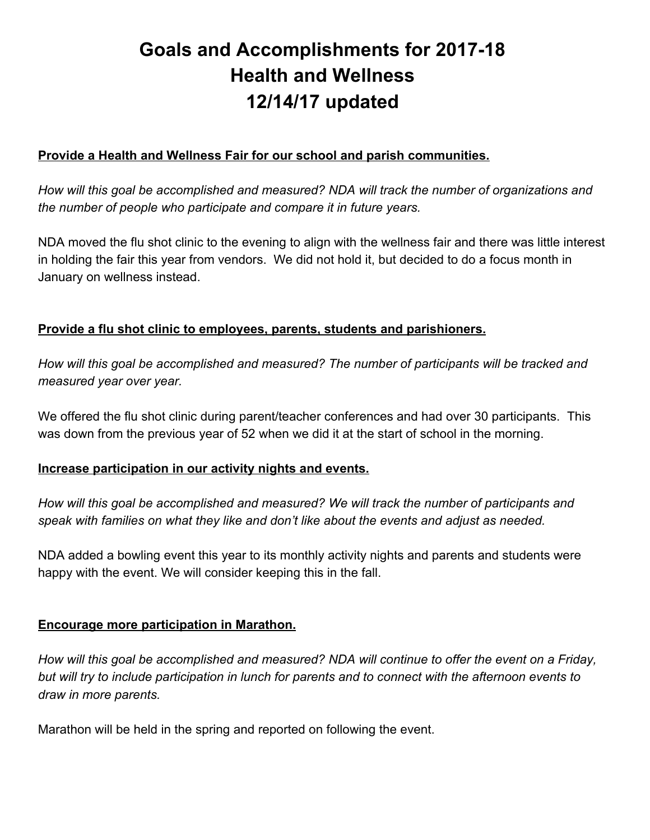# **Goals and Accomplishments for 2017-18 Health and Wellness 12/14/17 updated**

# **Provide a Health and Wellness Fair for our school and parish communities.**

*How will this goal be accomplished and measured? NDA will track the number of organizations and the number of people who participate and compare it in future years.*

NDA moved the flu shot clinic to the evening to align with the wellness fair and there was little interest in holding the fair this year from vendors. We did not hold it, but decided to do a focus month in January on wellness instead.

## **Provide a flu shot clinic to employees, parents, students and parishioners.**

*How will this goal be accomplished and measured? The number of participants will be tracked and measured year over year.*

We offered the flu shot clinic during parent/teacher conferences and had over 30 participants. This was down from the previous year of 52 when we did it at the start of school in the morning.

## **Increase participation in our activity nights and events.**

*How will this goal be accomplished and measured? We will track the number of participants and speak with families on what they like and don't like about the events and adjust as needed.*

NDA added a bowling event this year to its monthly activity nights and parents and students were happy with the event. We will consider keeping this in the fall.

## **Encourage more participation in Marathon.**

*How will this goal be accomplished and measured? NDA will continue to offer the event on a Friday,* but will try to include participation in lunch for parents and to connect with the afternoon events to *draw in more parents.*

Marathon will be held in the spring and reported on following the event.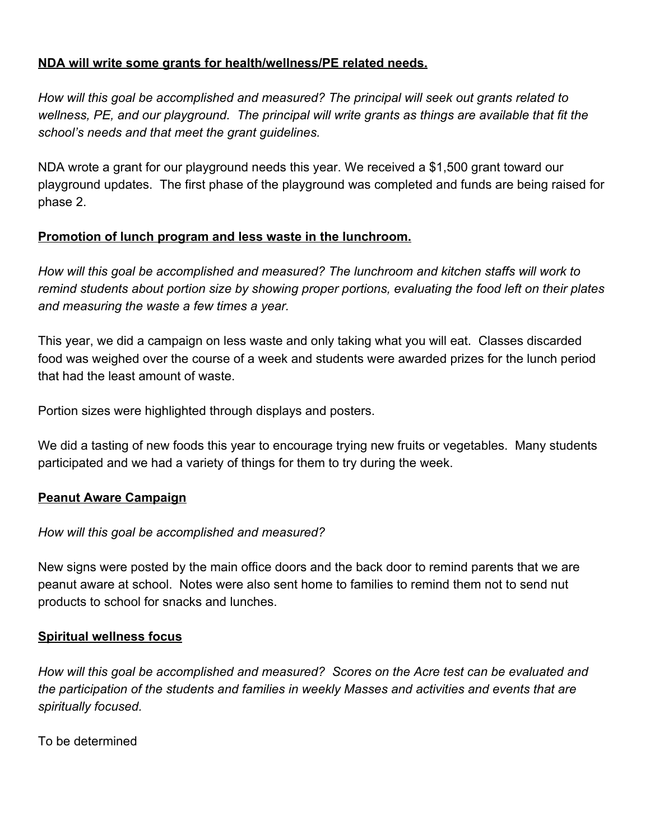## **NDA will write some grants for health/wellness/PE related needs.**

*How will this goal be accomplished and measured? The principal will seek out grants related to wellness, PE, and our playground. The principal will write grants as things are available that fit the school's needs and that meet the grant guidelines.*

NDA wrote a grant for our playground needs this year. We received a \$1,500 grant toward our playground updates. The first phase of the playground was completed and funds are being raised for phase 2.

## **Promotion of lunch program and less waste in the lunchroom.**

*How will this goal be accomplished and measured? The lunchroom and kitchen staffs will work to remind students about portion size by showing proper portions, evaluating the food left on their plates and measuring the waste a few times a year.*

This year, we did a campaign on less waste and only taking what you will eat. Classes discarded food was weighed over the course of a week and students were awarded prizes for the lunch period that had the least amount of waste.

Portion sizes were highlighted through displays and posters.

We did a tasting of new foods this year to encourage trying new fruits or vegetables. Many students participated and we had a variety of things for them to try during the week.

## **Peanut Aware Campaign**

#### *How will this goal be accomplished and measured?*

New signs were posted by the main office doors and the back door to remind parents that we are peanut aware at school. Notes were also sent home to families to remind them not to send nut products to school for snacks and lunches.

#### **Spiritual wellness focus**

*How will this goal be accomplished and measured? Scores on the Acre test can be evaluated and the participation of the students and families in weekly Masses and activities and events that are spiritually focused.*

To be determined